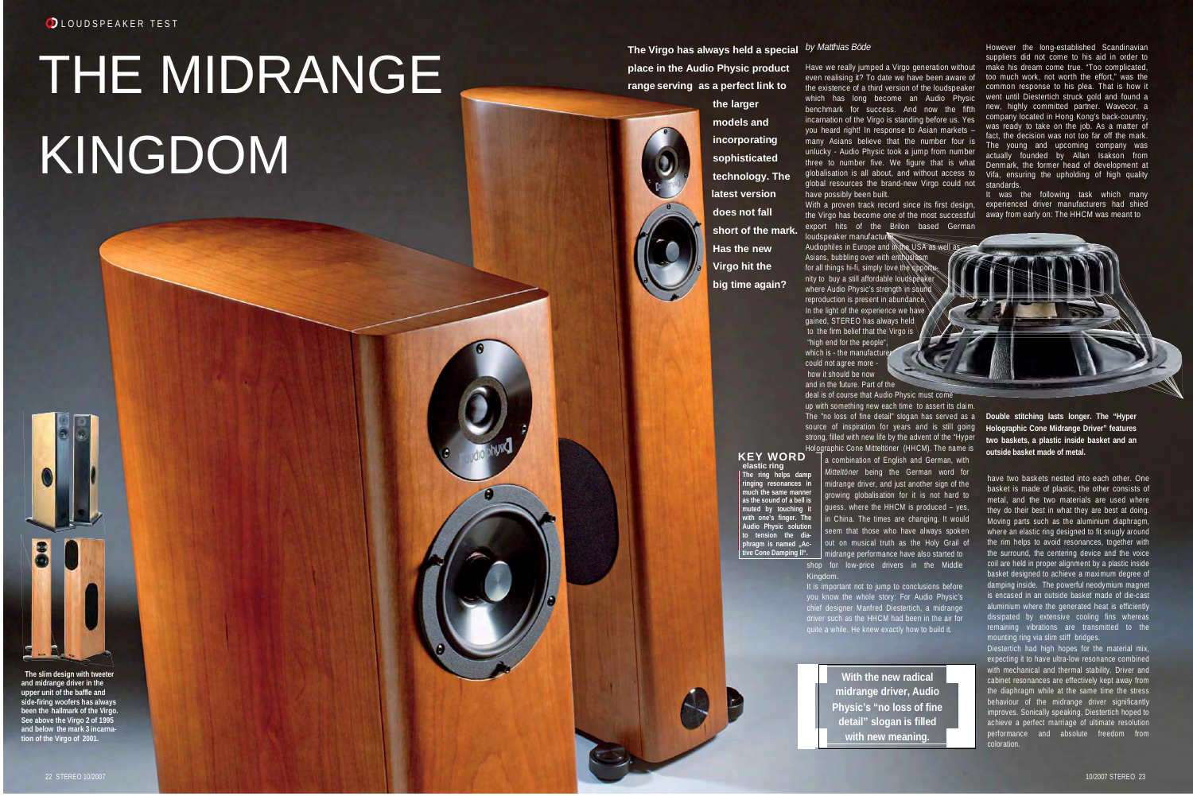OLOUDSPEAKER TEST

## THE MIDRANGE KINGDOM

**The Virgo has always held a special** *by Matthias Böde* **place in the Audio Physic product range serving as a perfect link to**

> **the larger models and incorporating sophisticated technology. The latest version does not fall short of the mark. Has the new Virgo hit the big time again?**

the Virgo has become one of the most successful export hits of the Brilon based German

Have we really jumped a Virgo generation without even realising it? To date we have been aware of the existence of a third version of the loudspeaker benchmark for success. And now the fifth incarnation of the Virgo is standing before us. Yes you heard right! In response to Asian markets – many Asians believe that the number four is unlucky - Audio Physic took a jump from number three to number five. We figure that is what globalisation is all about, and without access to global resources the brand-new Virgo could not

have possibly been built.

loudspeaker manufacturer.

which has long become an Audio Physic went-until-Diestertich-struck-gold-and-found-a However the long-established Scandinavian suppliers did not come to his aid in order to make his dream come true. "Too complicated, too much work, not worth the effort," was the common response to his plea. That is how it new, highly committed partner. Wavecor, a company located in Hong Kong's back-country, was ready to take on the job. As a matter of fact, the decision was not too far off the mark. The young and upcoming company was actually founded by Allan Isakson from Denmark, the former head of development at Vifa, ensuring the upholding of high quality standards.



 "high end for the people", which is - the manufacture could not agree more how it should be now and in the future. Part of the

deal is of course that Audio Physic must come up with something new each time to assert its claim.

have two baskets nested into each other. One basket is made of plastic, the other consists of metal, and the two materials are used where they do their best in what they are best at doing. Moving parts such as the aluminium diaphragm, where an elastic ring designed to fit snugly around the rim helps to avoid resonances, together with the surround, the centering device and the voice coil are held in proper alignment by a plastic inside basket designed to achieve a maximum degree of damping inside. The powerful neodymium magnet is encased in an outside basket made of die-cast aluminium where the generated heat is efficiently dissipated by extensive cooling fins whereas remaining vibrations are transmitted to the mounting ring via slim stiff bridges.

With a proven track record since its first design, experienced driver manufacturers had shied It was the following task which many away from early on: The HHCM was meant to

The "no loss of fine detail" slogan has served as a **Double stitching lasts longer. The "Hyper Holographic Cone Midrange Driver" features two baskets, a plastic inside basket and an**

source of inspiration for years and is still going strong, filled with new life by the advent of the "Hyper Holographic Cone Mitteltöner (HHCM). The name is<br> $\mathbf{KEY}\ \mathbf{WORD}$  a combination of English and German, with **KEY WORD a** combination of English and German, with **and Soutside basket made of metal. elastic ring The ring helps damp ringing resonances in**

**much the same manner**

**with one's finger. The Audio Physic solution** ion the dia**phragm is named ..Active Cone Damping II".**

**as the sound of a bell is muted by touching it** *Mitteltöner* being the German word for midrange driver, and just another sign of the growing globalisation for it is not hard to guess. where the HHCM is produced – yes, in China. The times are changing. It would seem that those who have always spoken out on musical truth as the Holy Grail of midrange performance have also started to

> Diestertich had high hopes for the material mix, expecting it to have ultra-low resonance combined with mechanical and thermal stability. Driver and cabinet resonances are effectively kept away from the diaphragm while at the same time the stress behaviour of the midrange driver significantly improves. Sonically speaking, Diestertich hoped to achieve a perfect marriage of ultimate resolution performance and absolute freedom from coloration.

**The slim design with tweeter and midrange driver in the upper unit of the baffle and side-firing woofers has always been the hallmark of the Virgo. See above the Virgo 2 of 1995 and below the mark 3 incarnation of the Virgo of 2001.**

shop for low-price drivers in the Middle Kingdom.

It is important not to jump to conclusions before you know the whole story: For Audio Physic's chief designer Manfred Diestertich, a midrange driver such as the HHCM had been in the air for quite a while. He knew exactly how to build it.

**With the new radical midrange driver, Audio Physic's "no loss of fine detail" slogan is filled with new meaning.**